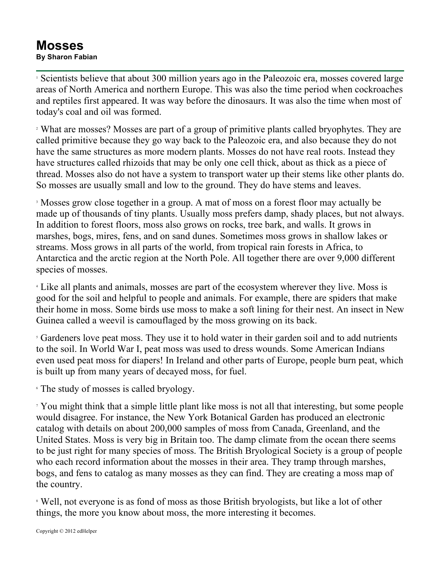## **Mosses By Sharon Fabian**

<sup>1</sup> Scientists believe that about 300 million years ago in the Paleozoic era, mosses covered large areas of North America and northern Europe. This was also the time period when cockroaches and reptiles first appeared. It was way before the dinosaurs. It was also the time when most of today's coal and oil was formed.

<sup>2</sup> What are mosses? Mosses are part of a group of primitive plants called bryophytes. They are called primitive because they go way back to the Paleozoic era, and also because they do not have the same structures as more modern plants. Mosses do not have real roots. Instead they have structures called rhizoids that may be only one cell thick, about as thick as a piece of thread. Mosses also do not have a system to transport water up their stems like other plants do. So mosses are usually small and low to the ground. They do have stems and leaves.

<sup>3</sup> Mosses grow close together in a group. A mat of moss on a forest floor may actually be made up of thousands of tiny plants. Usually moss prefers damp, shady places, but not always. In addition to forest floors, moss also grows on rocks, tree bark, and walls. It grows in marshes, bogs, mires, fens, and on sand dunes. Sometimes moss grows in shallow lakes or streams. Moss grows in all parts of the world, from tropical rain forests in Africa, to Antarctica and the arctic region at the North Pole. All together there are over 9,000 different species of mosses.

<sup>4</sup> Like all plants and animals, mosses are part of the ecosystem wherever they live. Moss is good for the soil and helpful to people and animals. For example, there are spiders that make their home in moss. Some birds use moss to make a soft lining for their nest. An insect in New Guinea called a weevil is camouflaged by the moss growing on its back.

<sup>5</sup> Gardeners love peat moss. They use it to hold water in their garden soil and to add nutrients to the soil. In World War I, peat moss was used to dress wounds. Some American Indians even used peat moss for diapers! In Ireland and other parts of Europe, people burn peat, which is built up from many years of decayed moss, for fuel.

<sup>6</sup> The study of mosses is called bryology.

<sup>7</sup> You might think that a simple little plant like moss is not all that interesting, but some people would disagree. For instance, the New York Botanical Garden has produced an electronic catalog with details on about 200,000 samples of moss from Canada, Greenland, and the United States. Moss is very big in Britain too. The damp climate from the ocean there seems to be just right for many species of moss. The British Bryological Society is a group of people who each record information about the mosses in their area. They tramp through marshes, bogs, and fens to catalog as many mosses as they can find. They are creating a moss map of the country.

<sup>8</sup> Well, not everyone is as fond of moss as those British bryologists, but like a lot of other things, the more you know about moss, the more interesting it becomes.